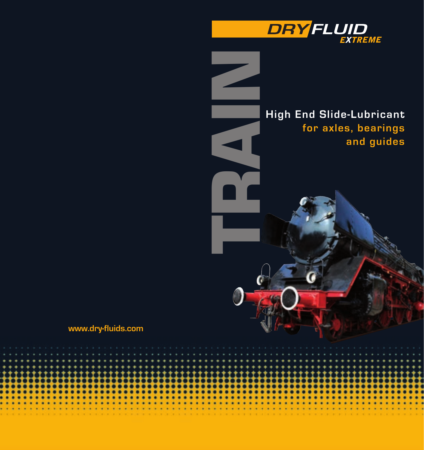

# **High End Slide-Lubricant for axles, bearings and guides**

## **www.dry-fluids.com**



**TRAIN**